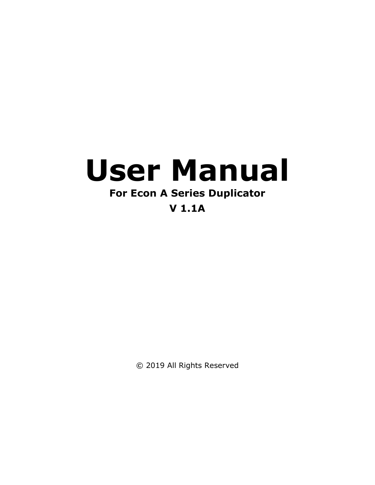# **User Manual**

# **For Econ A Series Duplicator**

# **V 1.1A**

© 2019 All Rights Reserved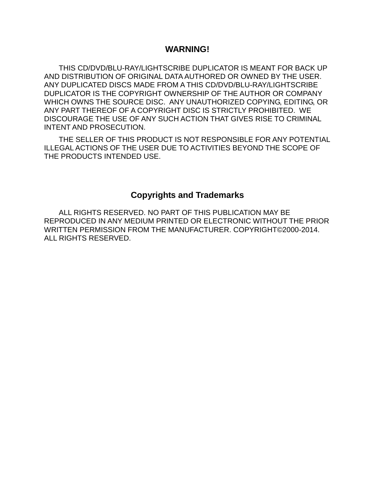# **WARNING!**

THIS CD/DVD/BLU-RAY/LIGHTSCRIBE DUPLICATOR IS MEANT FOR BACK UP AND DISTRIBUTION OF ORIGINAL DATA AUTHORED OR OWNED BY THE USER. ANY DUPLICATED DISCS MADE FROM A THIS CD/DVD/BLU-RAY/LIGHTSCRIBE DUPLICATOR IS THE COPYRIGHT OWNERSHIP OF THE AUTHOR OR COMPANY WHICH OWNS THE SOURCE DISC. ANY UNAUTHORIZED COPYING, EDITING, OR ANY PART THEREOF OF A COPYRIGHT DISC IS STRICTLY PROHIBITED. WE DISCOURAGE THE USE OF ANY SUCH ACTION THAT GIVES RISE TO CRIMINAL INTENT AND PROSECUTION.

THE SELLER OF THIS PRODUCT IS NOT RESPONSIBLE FOR ANY POTENTIAL ILLEGAL ACTIONS OF THE USER DUE TO ACTIVITIES BEYOND THE SCOPE OF THE PRODUCTS INTENDED USE.

# **Copyrights and Trademarks**

ALL RIGHTS RESERVED. NO PART OF THIS PUBLICATION MAY BE REPRODUCED IN ANY MEDIUM PRINTED OR ELECTRONIC WITHOUT THE PRIOR WRITTEN PERMISSION FROM THE MANUFACTURER. COPYRIGHT©2000-2014. ALL RIGHTS RESERVED.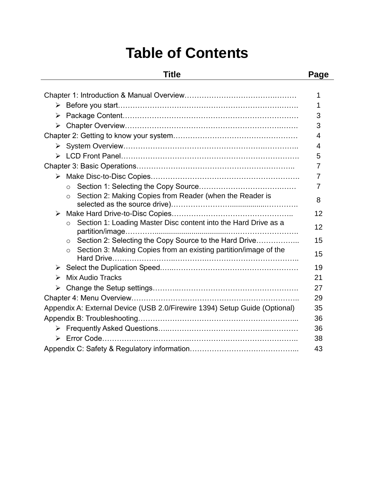# **Table of Contents**

# **Title Page**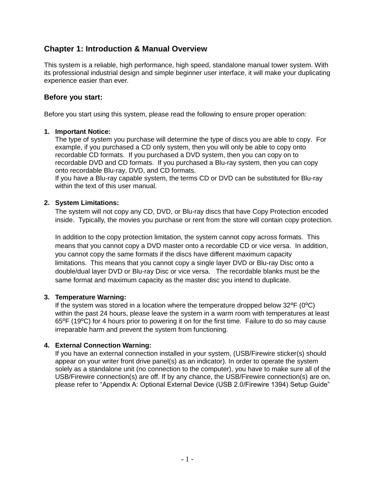# **Chapter 1: Introduction & Manual Overview**

This system is a reliable, high performance, high speed, standalone manual tower system. With its professional industrial design and simple beginner user interface, it will make your duplicating experience easier than ever.

## **Before you start:**

Before you start using this system, please read the following to ensure proper operation:

#### **1. Important Notice:**

The type of system you purchase will determine the type of discs you are able to copy. For example, if you purchased a CD only system, then you will only be able to copy onto recordable CD formats. If you purchased a DVD system, then you can copy on to recordable DVD and CD formats. If you purchased a Blu-ray system, then you can copy onto recordable Blu-ray, DVD, and CD formats.

If you have a Blu-ray capable system, the terms CD or DVD can be substituted for Blu-ray within the text of this user manual.

#### **2. System Limitations:**

The system will not copy any CD, DVD, or Blu-ray discs that have Copy Protection encoded inside. Typically, the movies you purchase or rent from the store will contain copy protection.

In addition to the copy protection limitation, the system cannot copy across formats. This means that you cannot copy a DVD master onto a recordable CD or vice versa. In addition, you cannot copy the same formats if the discs have different maximum capacity limitations. This means that you cannot copy a single layer DVD or Blu-ray Disc onto a double/dual layer DVD or Blu-ray Disc or vice versa. The recordable blanks must be the same format and maximum capacity as the master disc you intend to duplicate.

#### **3. Temperature Warning:**

If the system was stored in a location where the temperature dropped below  $32^{\circ}F$  ( $0^{\circ}C$ ) within the past 24 hours, please leave the system in a warm room with temperatures at least 65<sup>o</sup>F (19<sup>o</sup>C) for 4 hours prior to powering it on for the first time. Failure to do so may cause irreparable harm and prevent the system from functioning.

#### **4. External Connection Warning:**

If you have an external connection installed in your system, (USB/Firewire sticker(s) should appear on your writer front drive panel(s) as an indicator). In order to operate the system solely as a standalone unit (no connection to the computer), you have to make sure all of the USB/Firewire connection(s) are off. If by any chance, the USB/Firewire connection(s) are on, please refer to "Appendix A: Optional External Device (USB 2.0/Firewire 1394) Setup Guide"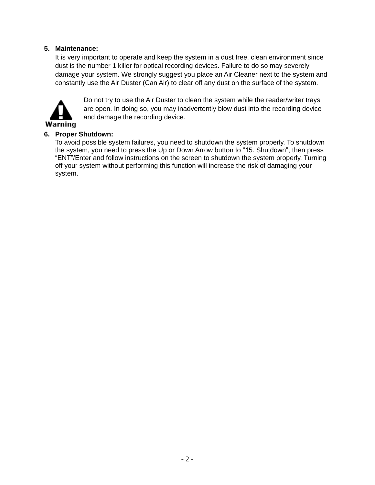# **5. Maintenance:**

It is very important to operate and keep the system in a dust free, clean environment since dust is the number 1 killer for optical recording devices. Failure to do so may severely damage your system. We strongly suggest you place an Air Cleaner next to the system and constantly use the Air Duster (Can Air) to clear off any dust on the surface of the system.



Do not try to use the Air Duster to clean the system while the reader/writer trays are open. In doing so, you may inadvertently blow dust into the recording device and damage the recording device.

# **6. Proper Shutdown:**

To avoid possible system failures, you need to shutdown the system properly. To shutdown the system, you need to press the Up or Down Arrow button to "15. Shutdown", then press "ENT"/Enter and follow instructions on the screen to shutdown the system properly. Turning off your system without performing this function will increase the risk of damaging your system.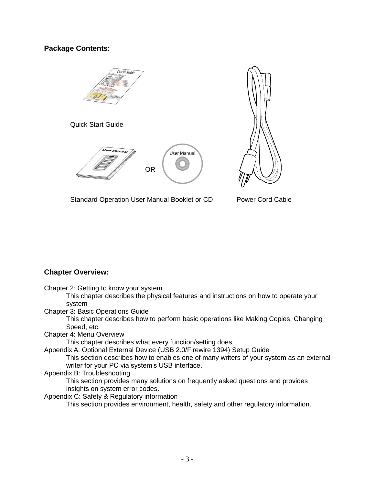# **Package Contents:**





Standard Operation User Manual Booklet or CD

Power Cord Cable

# **Chapter Overview:**

Chapter 2: Getting to know your system

This chapter describes the physical features and instructions on how to operate your system

Chapter 3: Basic Operations Guide

This chapter describes how to perform basic operations like Making Copies, Changing Speed, etc.

Chapter 4: Menu Overview

This chapter describes what every function/setting does.

Appendix A: Optional External Device (USB 2.0/Firewire 1394) Setup Guide

This section describes how to enables one of many writers of your system as an external writer for your PC via system's USB interface.

#### Appendix B: Troubleshooting

This section provides many solutions on frequently asked questions and provides insights on system error codes.

Appendix C: Safety & Regulatory information

This section provides environment, health, safety and other regulatory information.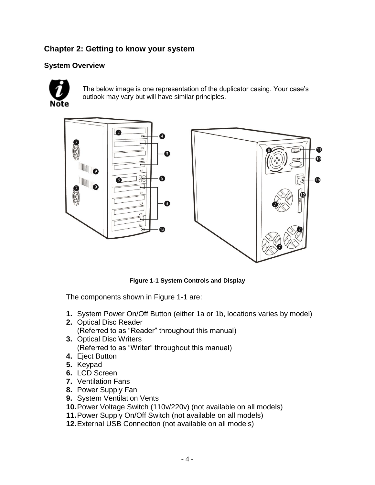# **Chapter 2: Getting to know your system**

# **System Overview**



The below image is one representation of the duplicator casing. Your case's outlook may vary but will have similar principles.



**Figure 1-1 System Controls and Display**

The components shown in Figure 1-1 are:

- **1.** System Power On/Off Button (either 1a or 1b, locations varies by model)
- **2.** Optical Disc Reader (Referred to as "Reader" throughout this manual)
- **3.** Optical Disc Writers (Referred to as "Writer" throughout this manual)
- **4.** Eject Button
- **5.** Keypad
- **6.** LCD Screen
- **7.** Ventilation Fans
- **8.** Power Supply Fan
- **9.** System Ventilation Vents
- **10.**Power Voltage Switch (110v/220v) (not available on all models)
- **11.**Power Supply On/Off Switch (not available on all models)
- **12.**External USB Connection (not available on all models)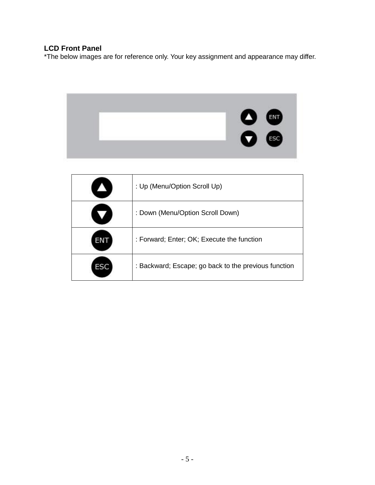# **LCD Front Panel**

\*The below images are for reference only. Your key assignment and appearance may differ.



| : Up (Menu/Option Scroll Up)                         |
|------------------------------------------------------|
| : Down (Menu/Option Scroll Down)                     |
| : Forward; Enter; OK; Execute the function           |
| : Backward; Escape; go back to the previous function |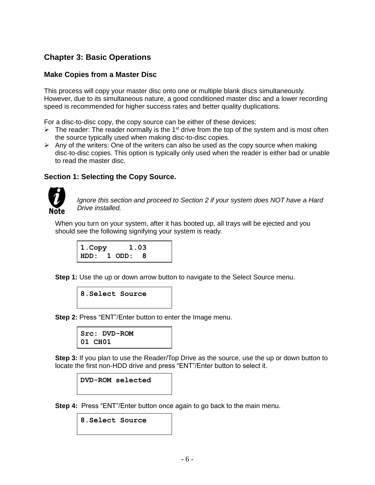# **Chapter 3: Basic Operations**

## **Make Copies from a Master Disc**

This process will copy your master disc onto one or multiple blank discs simultaneously. However, due to its simultaneous nature, a good conditioned master disc and a lower recording speed is recommended for higher success rates and better quality duplications.

For a disc-to-disc copy, the copy source can be either of these devices:

- $\triangleright$  The reader: The reader normally is the 1<sup>st</sup> drive from the top of the system and is most often the source typically used when making disc-to-disc copies.
- $\triangleright$  Any of the writers: One of the writers can also be used as the copy source when making disc-to-disc copies. This option is typically only used when the reader is either bad or unable to read the master disc.

# **Section 1: Selecting the Copy Source.**



*Ignore this section and proceed to Section 2 if your system does NOT have a Hard Drive installed.*

When you turn on your system, after it has booted up, all trays will be ejected and you should see the following signifying your system is ready.

```
1.Copy 1.03
HDD: 1 ODD: 8
```
**Step 1:** Use the up or down arrow button to navigate to the Select Source menu.

```
8.Select Source
```
**Step 2: Press "ENT"/Enter button to enter the Image menu.** 

**Src: DVD-ROM 01 CH01**

**Step 3:** If you plan to use the Reader/Top Drive as the source, use the up or down button to locate the first non-HDD drive and press "ENT"/Enter button to select it.

#### **DVD-ROM selected**

**Step 4:** Press "ENT"/Enter button once again to go back to the main menu.

**8.Select Source**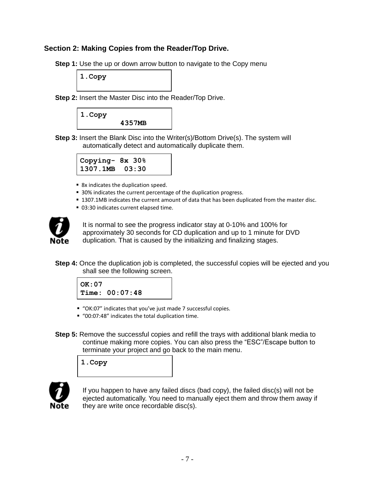# **Section 2: Making Copies from the Reader/Top Drive.**

**Step 1:** Use the up or down arrow button to navigate to the Copy menu

**1.Copy** 

**Step 2:** Insert the Master Disc into the Reader/Top Drive.



**Step 3:** Insert the Blank Disc into the Writer(s)/Bottom Drive(s). The system will automatically detect and automatically duplicate them.

| Copying- 8x 30%    |  |
|--------------------|--|
| $1307.1MB$ $03:30$ |  |

- 8x indicates the duplication speed.
- 30% indicates the current percentage of the duplication progress.
- **1307.1MB indicates the current amount of data that has been duplicated from the master disc.**
- 03:30 indicates current elapsed time.



It is normal to see the progress indicator stay at 0-10% and 100% for approximately 30 seconds for CD duplication and up to 1 minute for DVD duplication. That is caused by the initializing and finalizing stages.

**Step 4:** Once the duplication job is completed, the successful copies will be ejected and you shall see the following screen.

**OK:07 Time: 00:07:48**

- "OK:07" indicates that you've just made 7 successful copies.
- "00:07:48" indicates the total duplication time.
- **Step 5:** Remove the successful copies and refill the trays with additional blank media to continue making more copies. You can also press the "ESC"/Escape button to terminate your project and go back to the main menu.

**1.Copy** 



If you happen to have any failed discs (bad copy), the failed disc(s) will not be ejected automatically. You need to manually eject them and throw them away if they are write once recordable disc(s).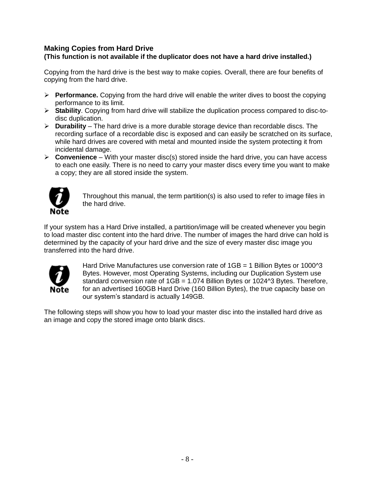# **Making Copies from Hard Drive (This function is not available if the duplicator does not have a hard drive installed.)**

Copying from the hard drive is the best way to make copies. Overall, there are four benefits of copying from the hard drive.

- ➢ **Performance.** Copying from the hard drive will enable the writer dives to boost the copying performance to its limit.
- ➢ **Stability**. Copying from hard drive will stabilize the duplication process compared to disc-todisc duplication.
- ➢ **Durability** The hard drive is a more durable storage device than recordable discs. The recording surface of a recordable disc is exposed and can easily be scratched on its surface, while hard drives are covered with metal and mounted inside the system protecting it from incidental damage.
- ➢ **Convenience** With your master disc(s) stored inside the hard drive, you can have access to each one easily. There is no need to carry your master discs every time you want to make a copy; they are all stored inside the system.



Throughout this manual, the term partition(s) is also used to refer to image files in the hard drive.

If your system has a Hard Drive installed, a partition/image will be created whenever you begin to load master disc content into the hard drive. The number of images the hard drive can hold is determined by the capacity of your hard drive and the size of every master disc image you transferred into the hard drive.



Hard Drive Manufactures use conversion rate of  $1GB = 1$  Billion Bytes or 1000 $^{2}$ 3 Bytes. However, most Operating Systems, including our Duplication System use standard conversion rate of  $1GB = 1.074$  Billion Bytes or 1024^3 Bytes. Therefore, for an advertised 160GB Hard Drive (160 Billion Bytes), the true capacity base on our system's standard is actually 149GB.

The following steps will show you how to load your master disc into the installed hard drive as an image and copy the stored image onto blank discs.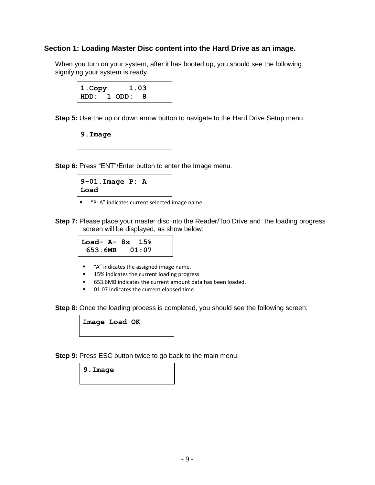#### **Section 1: Loading Master Disc content into the Hard Drive as an image.**

When you turn on your system, after it has booted up, you should see the following signifying your system is ready.



**Step 5:** Use the up or down arrow button to navigate to the Hard Drive Setup menu.

**9.Image**

**Step 6:** Press "ENT"/Enter button to enter the Image menu.

```
9-01.Image P: A
Load
```
■ "P: A" indicates current selected image name

**Step 7:** Please place your master disc into the Reader/Top Drive and the loading progress screen will be displayed, as show below:

$$
\begin{array}{|c|c|c|c|}\n\hline\n\text{Load- A- 8x} & 15\% \\
\hline\n653.6MB & 01:07\n\end{array}
$$

- "A" indicates the assigned image name.
- 15% indicates the current loading progress.
- 653.6MB indicates the current amount data has been loaded.
- 01:07 indicates the current elapsed time.

**Step 8:** Once the loading process is completed, you should see the following screen:

**Image Load OK**

**Step 9:** Press ESC button twice to go back to the main menu:

**9.Image**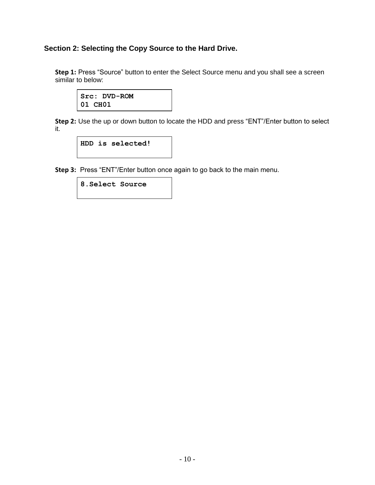# **Section 2: Selecting the Copy Source to the Hard Drive.**

**Step 1:** Press "Source" button to enter the Select Source menu and you shall see a screen similar to below:

**Src: DVD-ROM 01 CH01**

**Step 2:** Use the up or down button to locate the HDD and press "ENT"/Enter button to select it.

**HDD is selected!**

**Step 3:** Press "ENT"/Enter button once again to go back to the main menu.

**8.Select Source**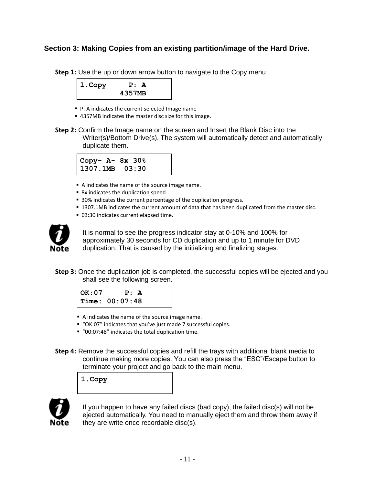# **Section 3: Making Copies from an existing partition/image of the Hard Drive.**

**Step 1:** Use the up or down arrow button to navigate to the Copy menu



- P: A indicates the current selected Image name
- 4357MB indicates the master disc size for this image.
- **Step 2:** Confirm the Image name on the screen and Insert the Blank Disc into the Writer(s)/Bottom Drive(s). The system will automatically detect and automatically duplicate them.

$$
\begin{array}{cc}\n\text{Copy- A- 8x } 30\% \\
1307.1MB & 03:30\n\end{array}
$$

- A indicates the name of the source image name.
- 8x indicates the duplication speed.
- 30% indicates the current percentage of the duplication progress.
- **1307.1MB indicates the current amount of data that has been duplicated from the master disc.**
- 03:30 indicates current elapsed time.



It is normal to see the progress indicator stay at 0-10% and 100% for approximately 30 seconds for CD duplication and up to 1 minute for DVD duplication. That is caused by the initializing and finalizing stages.

**Step 3:** Once the duplication job is completed, the successful copies will be ejected and you shall see the following screen.

| OK : 07 | P: A           |  |
|---------|----------------|--|
|         | Time: 00:07:48 |  |

- A indicates the name of the source image name.
- "OK:07" indicates that you've just made 7 successful copies.
- "00:07:48" indicates the total duplication time.
- **Step 4:** Remove the successful copies and refill the trays with additional blank media to continue making more copies. You can also press the "ESC"/Escape button to terminate your project and go back to the main menu.

**1.Copy** 



If you happen to have any failed discs (bad copy), the failed disc(s) will not be ejected automatically. You need to manually eject them and throw them away if they are write once recordable disc(s).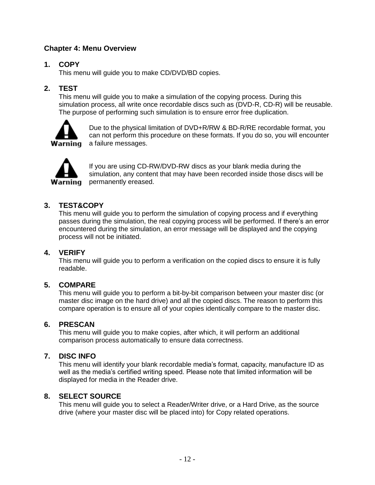# **Chapter 4: Menu Overview**

# **1. COPY**

This menu will guide you to make CD/DVD/BD copies.

# **2. TEST**

This menu will guide you to make a simulation of the copying process. During this simulation process, all write once recordable discs such as (DVD-R, CD-R) will be reusable. The purpose of performing such simulation is to ensure error free duplication.



Due to the physical limitation of DVD+R/RW & BD-R/RE recordable format, you can not perform this procedure on these formats. If you do so, you will encounter **Warning** a failure messages.



If you are using CD-RW/DVD-RW discs as your blank media during the simulation, any content that may have been recorded inside those discs will be permanently ereased.

# **3. TEST&COPY**

This menu will guide you to perform the simulation of copying process and if everything passes during the simulation, the real copying process will be performed. If there's an error encountered during the simulation, an error message will be displayed and the copying process will not be initiated.

# **4. VERIFY**

This menu will guide you to perform a verification on the copied discs to ensure it is fully readable.

# **5. COMPARE**

This menu will guide you to perform a bit-by-bit comparison between your master disc (or master disc image on the hard drive) and all the copied discs. The reason to perform this compare operation is to ensure all of your copies identically compare to the master disc.

# **6. PRESCAN**

This menu will guide you to make copies, after which, it will perform an additional comparison process automatically to ensure data correctness.

# **7. DISC INFO**

This menu will identify your blank recordable media's format, capacity, manufacture ID as well as the media's certified writing speed. Please note that limited information will be displayed for media in the Reader drive.

# **8. SELECT SOURCE**

This menu will guide you to select a Reader/Writer drive, or a Hard Drive, as the source drive (where your master disc will be placed into) for Copy related operations.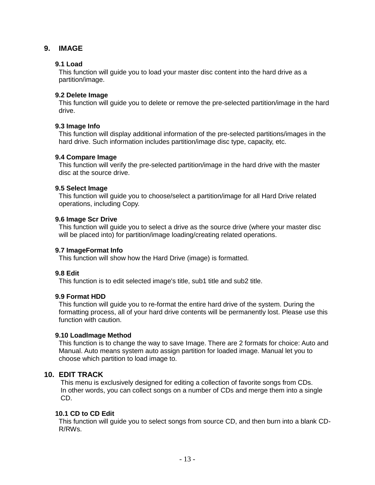# **9. IMAGE**

#### **9.1 Load**

This function will guide you to load your master disc content into the hard drive as a partition/image.

#### **9.2 Delete Image**

This function will guide you to delete or remove the pre-selected partition/image in the hard drive.

#### **9.3 Image Info**

This function will display additional information of the pre-selected partitions/images in the hard drive. Such information includes partition/image disc type, capacity, etc.

#### **9.4 Compare Image**

This function will verify the pre-selected partition/image in the hard drive with the master disc at the source drive.

#### **9.5 Select Image**

This function will guide you to choose/select a partition/image for all Hard Drive related operations, including Copy.

#### **9.6 Image Scr Drive**

This function will guide you to select a drive as the source drive (where your master disc will be placed into) for partition/image loading/creating related operations.

#### **9.7 ImageFormat Info**

This function will show how the Hard Drive (image) is formatted.

#### **9.8 Edit**

This function is to edit selected image's title, sub1 title and sub2 title.

#### **9.9 Format HDD**

This function will guide you to re-format the entire hard drive of the system. During the formatting process, all of your hard drive contents will be permanently lost. Please use this function with caution.

#### **9.10 LoadImage Method**

This function is to change the way to save Image. There are 2 formats for choice: Auto and Manual. Auto means system auto assign partition for loaded image. Manual let you to choose which partition to load image to.

# **10. EDIT TRACK**

This menu is exclusively designed for editing a collection of favorite songs from CDs. In other words, you can collect songs on a number of CDs and merge them into a single CD.

#### **10.1 CD to CD Edit**

This function will guide you to select songs from source CD, and then burn into a blank CD-R/RWs.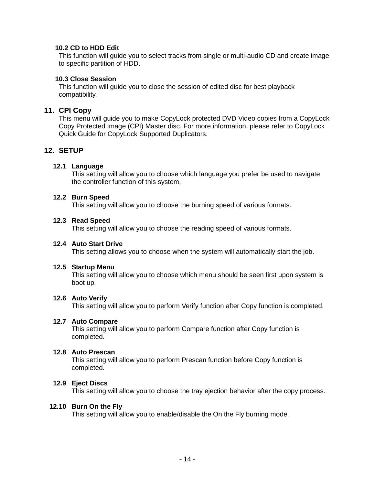#### **10.2 CD to HDD Edit**

This function will guide you to select tracks from single or multi-audio CD and create image to specific partition of HDD.

#### **10.3 Close Session**

This function will guide you to close the session of edited disc for best playback compatibility.

#### **11. CPI Copy**

This menu will guide you to make CopyLock protected DVD Video copies from a CopyLock Copy Protected Image (CPI) Master disc. For more information, please refer to CopyLock Quick Guide for CopyLock Supported Duplicators.

#### **12. SETUP**

#### **12.1 Language**

This setting will allow you to choose which language you prefer be used to navigate the controller function of this system.

#### **12.2 Burn Speed**

This setting will allow you to choose the burning speed of various formats.

#### **12.3 Read Speed**

This setting will allow you to choose the reading speed of various formats.

#### **12.4 Auto Start Drive**

This setting allows you to choose when the system will automatically start the job.

#### **12.5 Startup Menu**

This setting will allow you to choose which menu should be seen first upon system is boot up.

#### **12.6 Auto Verify**

This setting will allow you to perform Verify function after Copy function is completed.

#### **12.7 Auto Compare**

This setting will allow you to perform Compare function after Copy function is completed.

#### **12.8 Auto Prescan**

This setting will allow you to perform Prescan function before Copy function is completed.

#### **12.9 Eject Discs**

This setting will allow you to choose the tray ejection behavior after the copy process.

#### **12.10 Burn On the Fly**

This setting will allow you to enable/disable the On the Fly burning mode.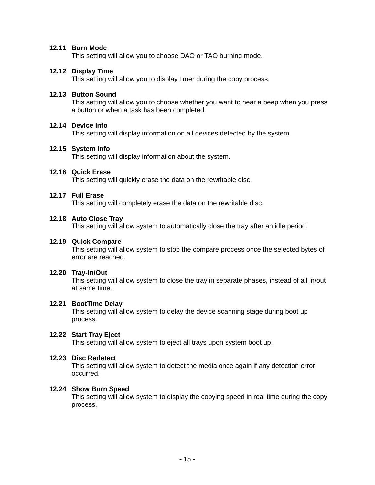#### **12.11 Burn Mode**

This setting will allow you to choose DAO or TAO burning mode.

#### **12.12 Display Time**

This setting will allow you to display timer during the copy process.

#### **12.13 Button Sound**

This setting will allow you to choose whether you want to hear a beep when you press a button or when a task has been completed.

#### **12.14 Device Info**

This setting will display information on all devices detected by the system.

#### **12.15 System Info**

This setting will display information about the system.

#### **12.16 Quick Erase**

This setting will quickly erase the data on the rewritable disc.

#### **12.17 Full Erase**

This setting will completely erase the data on the rewritable disc.

#### **12.18 Auto Close Tray**

This setting will allow system to automatically close the tray after an idle period.

#### **12.19 Quick Compare**

This setting will allow system to stop the compare process once the selected bytes of error are reached.

#### **12.20 Tray-In/Out**

This setting will allow system to close the tray in separate phases, instead of all in/out at same time.

#### **12.21 BootTime Delay**

This setting will allow system to delay the device scanning stage during boot up process.

#### **12.22 Start Tray Eject**

This setting will allow system to eject all trays upon system boot up.

#### **12.23 Disc Redetect**

This setting will allow system to detect the media once again if any detection error occurred.

#### **12.24 Show Burn Speed**

This setting will allow system to display the copying speed in real time during the copy process.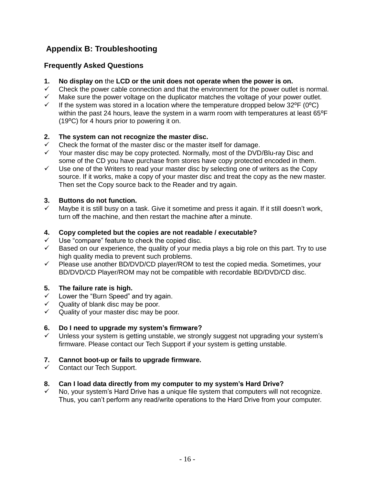# **Appendix B: Troubleshooting**

# **Frequently Asked Questions**

- **1. No display on** the **LCD or the unit does not operate when the power is on.**
- $\checkmark$  Check the power cable connection and that the environment for the power outlet is normal.
- $\checkmark$  Make sure the power voltage on the duplicator matches the voltage of your power outlet.<br> $\checkmark$  If the system was stored in a location where the temperature dropped below 32°F (0°C)
- If the system was stored in a location where the temperature dropped below  $32^{\circ}F (0^{\circ}C)$ within the past 24 hours, leave the system in a warm room with temperatures at least 65°F (19⁰C) for 4 hours prior to powering it on.

# **2. The system can not recognize the master disc.**

- $\checkmark$  Check the format of the master disc or the master itself for damage.
- Your master disc may be copy protected. Normally, most of the DVD/Blu-ray Disc and some of the CD you have purchase from stores have copy protected encoded in them.
- $\checkmark$  Use one of the Writers to read your master disc by selecting one of writers as the Copy source. If it works, make a copy of your master disc and treat the copy as the new master. Then set the Copy source back to the Reader and try again.

# **3. Buttons do not function.**

✓ Maybe it is still busy on a task. Give it sometime and press it again. If it still doesn't work, turn off the machine, and then restart the machine after a minute.

# **4. Copy completed but the copies are not readable / executable?**

- $\checkmark$  Use "compare" feature to check the copied disc.
- $\checkmark$  Based on our experience, the quality of your media plays a big role on this part. Try to use high quality media to prevent such problems.
- $\checkmark$  Please use another BD/DVD/CD player/ROM to test the copied media. Sometimes, your BD/DVD/CD Player/ROM may not be compatible with recordable BD/DVD/CD disc.

# **5. The failure rate is high.**

- $\checkmark$  Lower the "Burn Speed" and try again.
- $\checkmark$  Quality of blank disc may be poor.
- $\checkmark$  Quality of your master disc may be poor.

# **6. Do I need to upgrade my system's firmware?**

Unless your system is getting unstable, we strongly suggest not upgrading your system's firmware. Please contact our Tech Support if your system is getting unstable.

# **7. Cannot boot-up or fails to upgrade firmware.**

Contact our Tech Support.

# **8. Can I load data directly from my computer to my system's Hard Drive?**

No, your system's Hard Drive has a unique file system that computers will not recognize. Thus, you can't perform any read/write operations to the Hard Drive from your computer.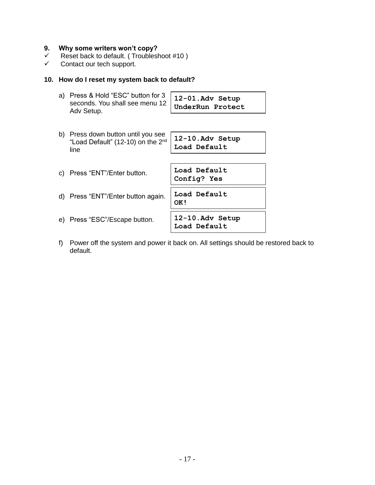# **9. Why some writers won't copy?**

- ✓ Reset back to default. ( Troubleshoot #10 )
- ✓ Contact our tech support.

#### **10. How do I reset my system back to default?**

| a) Press & Hold "ESC" button for 3 $\begin{array}{ l l }\n12-01.\n\end{array}$ seconds. You shall see menu 12 UnderRun Protect |  |
|--------------------------------------------------------------------------------------------------------------------------------|--|
| Adv Setup.                                                                                                                     |  |

| b) | Press down button until you see<br>"Load Default" (12-10) on the 2 <sup>nd</sup> | 12-10.Adv Setup             |
|----|----------------------------------------------------------------------------------|-----------------------------|
|    | line                                                                             | Load Default                |
|    |                                                                                  |                             |
| C) | Press "ENT"/Enter button.                                                        | Load Default<br>Config? Yes |
| d) | Press "ENT"/Enter button again.                                                  | Load Default<br>OK!         |
| e) | Press "ESC"/Escape button.                                                       | 12-10.Adv Setup             |

f) Power off the system and power it back on. All settings should be restored back to default.

**Load Default**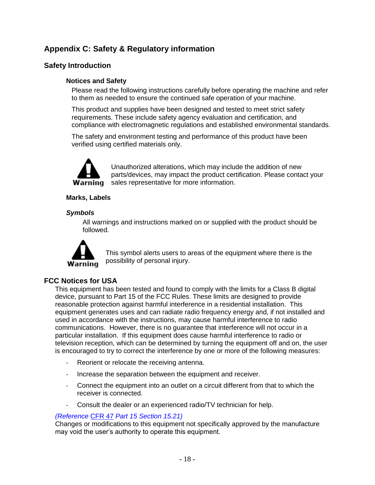# **Appendix C: Safety & Regulatory information**

# **Safety Introduction**

#### **Notices and Safety**

Please read the following instructions carefully before operating the machine and refer to them as needed to ensure the continued safe operation of your machine.

This product and supplies have been designed and tested to meet strict safety requirements. These include safety agency evaluation and certification, and compliance with electromagnetic regulations and established environmental standards.

The safety and environment testing and performance of this product have been verified using certified materials only.



Unauthorized alterations, which may include the addition of new parts/devices, may impact the product certification. Please contact your **Warning** sales representative for more information.

#### **Marks, Labels**

#### *Symbols*

All warnings and instructions marked on or supplied with the product should be followed.



This symbol alerts users to areas of the equipment where there is the possibility of personal injury.

# **FCC Notices for USA**

This equipment has been tested and found to comply with the limits for a Class B digital device, pursuant to Part 15 of the FCC Rules. These limits are designed to provide reasonable protection against harmful interference in a residential installation. This equipment generates uses and can radiate radio frequency energy and, if not installed and used in accordance with the instructions, may cause harmful interference to radio communications. However, there is no guarantee that interference will not occur in a particular installation. If this equipment does cause harmful interference to radio or television reception, which can be determined by turning the equipment off and on, the user is encouraged to try to correct the interference by one or more of the following measures:

- Reorient or relocate the receiving antenna.
- Increase the separation between the equipment and receiver.
- Connect the equipment into an outlet on a circuit different from that to which the receiver is connected.
- Consult the dealer or an experienced radio/TV technician for help.

#### *(Reference* [CFR 47](http://www.access.gpo.gov/cgi-bin/cfrassemble.cgi?title=199847) *Part 15 Section 15.21)*

Changes or modifications to this equipment not specifically approved by the manufacture may void the user's authority to operate this equipment.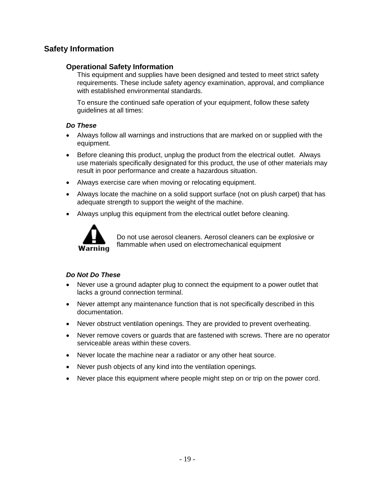# **Safety Information**

# **Operational Safety Information**

This equipment and supplies have been designed and tested to meet strict safety requirements. These include safety agency examination, approval, and compliance with established environmental standards.

To ensure the continued safe operation of your equipment, follow these safety guidelines at all times:

#### *Do These*

- Always follow all warnings and instructions that are marked on or supplied with the equipment.
- Before cleaning this product, unplug the product from the electrical outlet. Always use materials specifically designated for this product, the use of other materials may result in poor performance and create a hazardous situation.
- Always exercise care when moving or relocating equipment.
- Always locate the machine on a solid support surface (not on plush carpet) that has adequate strength to support the weight of the machine.
- Always unplug this equipment from the electrical outlet before cleaning.



Do not use aerosol cleaners. Aerosol cleaners can be explosive or flammable when used on electromechanical equipment

# *Do Not Do These*

- Never use a ground adapter plug to connect the equipment to a power outlet that lacks a ground connection terminal.
- Never attempt any maintenance function that is not specifically described in this documentation.
- Never obstruct ventilation openings. They are provided to prevent overheating.
- Never remove covers or guards that are fastened with screws. There are no operator serviceable areas within these covers.
- Never locate the machine near a radiator or any other heat source.
- Never push objects of any kind into the ventilation openings.
- Never place this equipment where people might step on or trip on the power cord.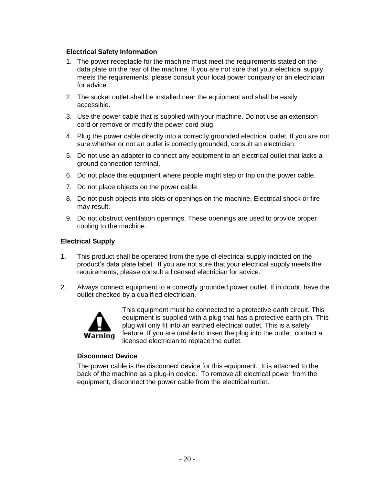#### **Electrical Safety Information**

- 1. The power receptacle for the machine must meet the requirements stated on the data plate on the rear of the machine. If you are not sure that your electrical supply meets the requirements, please consult your local power company or an electrician for advice.
- 2. The socket outlet shall be installed near the equipment and shall be easily accessible.
- 3. Use the power cable that is supplied with your machine. Do not use an extension cord or remove or modify the power cord plug.
- 4. Plug the power cable directly into a correctly grounded electrical outlet. If you are not sure whether or not an outlet is correctly grounded, consult an electrician.
- 5. Do not use an adapter to connect any equipment to an electrical outlet that lacks a ground connection terminal.
- 6. Do not place this equipment where people might step or trip on the power cable.
- 7. Do not place objects on the power cable.
- 8. Do not push objects into slots or openings on the machine. Electrical shock or fire may result.
- 9. Do not obstruct ventilation openings. These openings are used to provide proper cooling to the machine.

#### **Electrical Supply**

- 1. This product shall be operated from the type of electrical supply indicted on the product's data plate label. If you are not sure that your electrical supply meets the requirements, please consult a licensed electrician for advice.
- 2. Always connect equipment to a correctly grounded power outlet. If in doubt, have the outlet checked by a qualified electrician.



This equipment must be connected to a protective earth circuit. This equipment is supplied with a plug that has a protective earth pin. This plug will only fit into an earthed electrical outlet. This is a safety feature. If you are unable to insert the plug into the outlet, contact a licensed electrician to replace the outlet.

#### **Disconnect Device**

The power cable is the disconnect device for this equipment. It is attached to the back of the machine as a plug-in device. To remove all electrical power from the equipment, disconnect the power cable from the electrical outlet.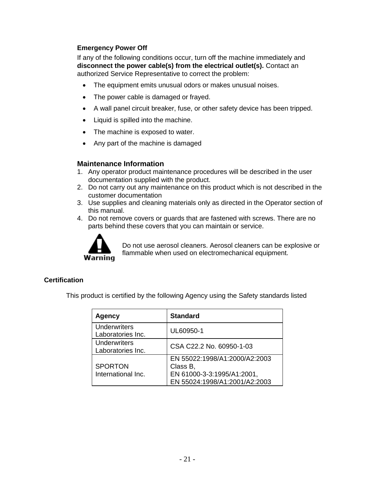#### **Emergency Power Off**

If any of the following conditions occur, turn off the machine immediately and **disconnect the power cable(s) from the electrical outlet(s).** Contact an authorized Service Representative to correct the problem:

- The equipment emits unusual odors or makes unusual noises.
- The power cable is damaged or frayed.
- A wall panel circuit breaker, fuse, or other safety device has been tripped.
- Liquid is spilled into the machine.
- The machine is exposed to water.
- Any part of the machine is damaged

#### **Maintenance Information**

- 1. Any operator product maintenance procedures will be described in the user documentation supplied with the product.
- 2. Do not carry out any maintenance on this product which is not described in the customer documentation
- 3. Use supplies and cleaning materials only as directed in the Operator section of this manual.
- 4. Do not remove covers or guards that are fastened with screws. There are no parts behind these covers that you can maintain or service.



Do not use aerosol cleaners. Aerosol cleaners can be explosive or flammable when used on electromechanical equipment.

#### **Certification**

This product is certified by the following Agency using the Safety standards listed

| <b>Agency</b>                            | <b>Standard</b>                                                                                          |
|------------------------------------------|----------------------------------------------------------------------------------------------------------|
| Underwriters<br>Laboratories Inc.        | UL60950-1                                                                                                |
| <b>Underwriters</b><br>Laboratories Inc. | CSA C22.2 No. 60950-1-03                                                                                 |
| <b>SPORTON</b><br>International Inc.     | EN 55022:1998/A1:2000/A2:2003<br>Class B,<br>EN 61000-3-3:1995/A1:2001,<br>EN 55024:1998/A1:2001/A2:2003 |